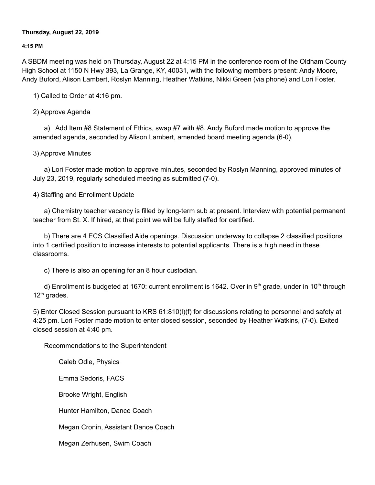### **Thursday, August 22, 2019**

### **4:15 PM**

A SBDM meeting was held on Thursday, August 22 at 4:15 PM in the conference room of the Oldham County High School at 1150 N Hwy 393, La Grange, KY, 40031, with the following members present: Andy Moore, Andy Buford, Alison Lambert, Roslyn Manning, Heather Watkins, Nikki Green (via phone) and Lori Foster.

1) Called to Order at 4:16 pm.

# 2) Approve Agenda

a) Add Item #8 Statement of Ethics, swap #7 with #8. Andy Buford made motion to approve the amended agenda, seconded by Alison Lambert, amended board meeting agenda (6-0).

# 3) Approve Minutes

a) Lori Foster made motion to approve minutes, seconded by Roslyn Manning, approved minutes of July 23, 2019, regularly scheduled meeting as submitted (7-0).

# 4) Staffing and Enrollment Update

a) Chemistry teacher vacancy is filled by long-term sub at present. Interview with potential permanent teacher from St. X. If hired, at that point we will be fully staffed for certified.

b) There are 4 ECS Classified Aide openings. Discussion underway to collapse 2 classified positions into 1 certified position to increase interests to potential applicants. There is a high need in these classrooms.

c) There is also an opening for an 8 hour custodian.

d) Enrollment is budgeted at 1670: current enrollment is 1642. Over in 9<sup>th</sup> grade, under in 10<sup>th</sup> through 12<sup>th</sup> grades.

5) Enter Closed Session pursuant to KRS 61:810(l)(f) for discussions relating to personnel and safety at 4:25 pm. Lori Foster made motion to enter closed session, seconded by Heather Watkins, (7-0). Exited closed session at 4:40 pm.

Recommendations to the Superintendent

Caleb Odle, Physics

Emma Sedoris, FACS

Brooke Wright, English

Hunter Hamilton, Dance Coach

Megan Cronin, Assistant Dance Coach

Megan Zerhusen, Swim Coach